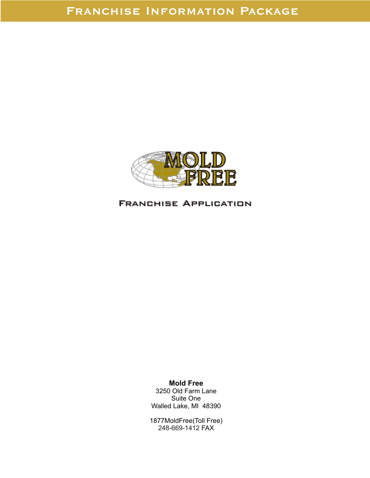

# Franchise Application Franchise Application

**Mold Free** 3250 Old Farm Lane Suite One Walled Lake, MI 48390

1877MoldFree(Toll Free) 248-669-1412 FAX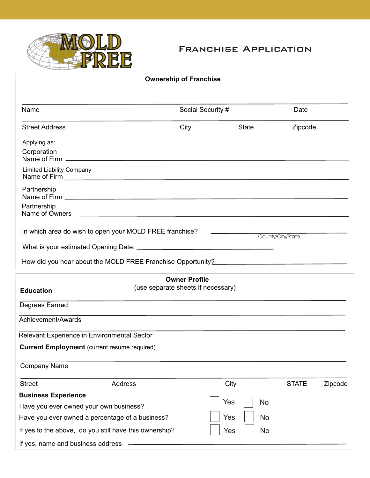

## Franchise Application

| <b>Ownership of Franchise</b>                                                                      |                                                            |              |                   |         |
|----------------------------------------------------------------------------------------------------|------------------------------------------------------------|--------------|-------------------|---------|
| Name<br>Social Security #                                                                          |                                                            | Date         |                   |         |
| <b>Street Address</b>                                                                              | City                                                       | <b>State</b> | Zipcode           |         |
| Applying as:<br>Corporation<br><b>Limited Liability Company</b>                                    |                                                            |              |                   |         |
| Partnership                                                                                        |                                                            |              |                   |         |
| Partnership<br>Name of Owners                                                                      |                                                            |              |                   |         |
| In which area do wish to open your MOLD FREE franchise?                                            |                                                            |              | County/City/State |         |
| <b>Education</b>                                                                                   | <b>Owner Profile</b><br>(use separate sheets if necessary) |              |                   |         |
| Degrees Earned:                                                                                    |                                                            |              |                   |         |
| Achievement/Awards                                                                                 |                                                            |              |                   |         |
| Relevant Experience in Environmental Sector<br><b>Current Employment</b> (current resume required) |                                                            |              |                   |         |
| <b>Company Name</b>                                                                                |                                                            |              |                   |         |
| Address<br><b>Street</b>                                                                           |                                                            | City         | <b>STATE</b>      | Zipcode |
| <b>Business Experience</b>                                                                         |                                                            |              |                   |         |
| Have you ever owned your own business?                                                             |                                                            | Yes          | No                |         |
| Have you ever owned a percentage of a business?                                                    |                                                            | Yes          | No                |         |
| If yes to the above, do you still have this ownership?                                             |                                                            | Yes          | <b>No</b>         |         |
| If yes, name and business address                                                                  |                                                            |              |                   |         |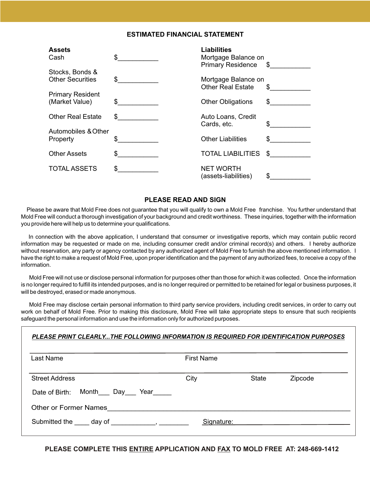#### **ESTIMATED FINANCIAL STATEMENT**

| <b>Assets</b><br>Cash                      | \$  | <b>Liabilities</b><br>Mortgage Balance on<br><b>Primary Residence</b> | \$  |
|--------------------------------------------|-----|-----------------------------------------------------------------------|-----|
| Stocks, Bonds &<br><b>Other Securities</b> | \$  | Mortgage Balance on<br><b>Other Real Estate</b>                       | \$  |
| <b>Primary Resident</b><br>(Market Value)  | \$  | <b>Other Obligations</b>                                              | \$  |
| <b>Other Real Estate</b>                   | \$  | Auto Loans, Credit<br>Cards, etc.                                     | \$. |
| Automobiles & Other                        |     |                                                                       |     |
| Property                                   |     | <b>Other Liabilities</b>                                              | \$. |
| <b>Other Assets</b>                        | \$. | <b>TOTAL LIABILITIES</b>                                              | S   |
| <b>TOTAL ASSETS</b>                        | \$  | <b>NET WORTH</b><br>(assets-liabilities)                              | \$  |

#### **PLEASE READ AND SIGN**

Please be aware that Mold Free does not guarantee that you will qualify to own a Mold Free franchise. You further understand that Mold Free will conduct a thorough investigation of your background and credit worthiness. These inquiries, together with the information you provide here will help us to determine your qualifications.

In connection with the above application, I understand that consumer or investigative reports, which may contain public record information may be requested or made on me, including consumer credit and/or criminal record(s) and others. I hereby authorize without reservation, any party or agency contacted by any authorized agent of Mold Free to furnish the above mentioned information. I have the right to make a request of Mold Free, upon proper identification and the payment of any authorized fees, to receive a copy of the information.

 Mold Free will not use or disclose personal information for purposes other than those for which it was collected. Once the information is no longer required to fulfill its intended purposes, and is no longer required or permitted to be retained for legal or business purposes, it will be destroyed, erased or made anonymous.

 Mold Free may disclose certain personal information to third party service providers, including credit services, in order to carry out work on behalf of Mold Free. Prior to making this disclosure, Mold Free will take appropriate steps to ensure that such recipients safeguard the personal information and use the information only for authorized purposes.

| Last Name                                                                                                                                                                                                                      | <b>First Name</b> |       |         |
|--------------------------------------------------------------------------------------------------------------------------------------------------------------------------------------------------------------------------------|-------------------|-------|---------|
| <b>Street Address</b>                                                                                                                                                                                                          | City              | State | Zipcode |
| Month Day Year<br>Date of Birth:                                                                                                                                                                                               |                   |       |         |
| <b>Other or Former Names</b>                                                                                                                                                                                                   |                   |       |         |
| Submitted the day of figures are the set of the set of the set of the set of the set of the set of the set of the set of the set of the set of the set of the set of the set of the set of the set of the set of the set of th | Signature:        |       |         |

**PLEASE COMPLETE THIS ENTIRE APPLICATION AND FAX TO MOLD FREE AT: 248-669-1412**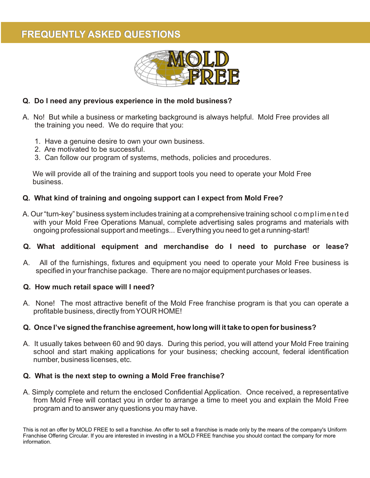# **FREQUENTLY ASKED QUESTIONS**



### **Q. Do I need any previous experience in the mold business?**

- A. No! But while a business or marketing background is always helpful. Mold Free provides all the training you need. We do require that you:
	- 1. Have a genuine desire to own your own business.
	- 2. Are motivated to be successful.
	- 3. Can follow our program of systems, methods, policies and procedures.

 We will provide all of the training and support tools you need to operate your Mold Free business.

### **Q. What kind of training and ongoing support can I expect from Mold Free?**

A. Our "turn-key" business system includes training at a comprehensive training school complimented with your Mold Free Operations Manual, complete advertising sales programs and materials with ongoing professional support and meetings... Everything you need to get a running-start!

#### **Q. What additional equipment and merchandise do I need to purchase or lease?**

A. All of the furnishings, fixtures and equipment you need to operate your Mold Free business is specified in your franchise package. There are no major equipment purchases or leases.

#### **Q. How much retail space will I need?**

A. None! The most attractive benefit of the Mold Free franchise program is that you can operate a profitable business, directly from YOUR HOME!

#### **Q. Once I've signed the franchise agreement, how long will it take to open for business?**

A. It usually takes between 60 and 90 days. During this period, you will attend your Mold Free training school and start making applications for your business; checking account, federal identification number, business licenses, etc.

### **Q. What is the next step to owning a Mold Free franchise?**

A. Simply complete and return the enclosed Confidential Application. Once received, a representative from Mold Free will contact you in order to arrange a time to meet you and explain the Mold Free program and to answer any questions you may have.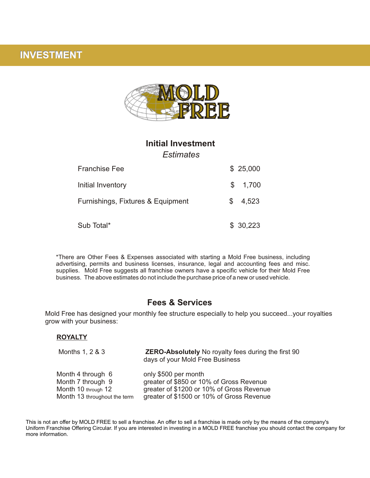# **INVESTMENT**



### **Initial Investment**

*Estimates*

| <b>Franchise Fee</b>              | \$25,000     |
|-----------------------------------|--------------|
| Initial Inventory                 | \$ 1,700     |
| Furnishings, Fixtures & Equipment | 4,523<br>\$. |
| Sub Total*                        | \$30,223     |

\*There are Other Fees & Expenses associated with starting a Mold Free business, including advertising, permits and business licenses, insurance, legal and accounting fees and misc. supplies. Mold Free suggests all franchise owners have a specific vehicle for their Mold Free business. The above estimates do not include the purchase price of a new or used vehicle.

### **Fees & Services**

Mold Free has designed your monthly fee structure especially to help you succeed...your royalties grow with your business:

#### **ROYALTY**

| Months 1, 2 & 3              | <b>ZERO-Absolutely</b> No royalty fees during the first 90<br>days of your Mold Free Business |
|------------------------------|-----------------------------------------------------------------------------------------------|
| Month 4 through 6            | only \$500 per month                                                                          |
| Month 7 through 9            | greater of \$850 or 10% of Gross Revenue                                                      |
| Month 10 through 12          | greater of \$1200 or 10% of Gross Revenue                                                     |
| Month 13 throughout the term | greater of \$1500 or 10% of Gross Revenue                                                     |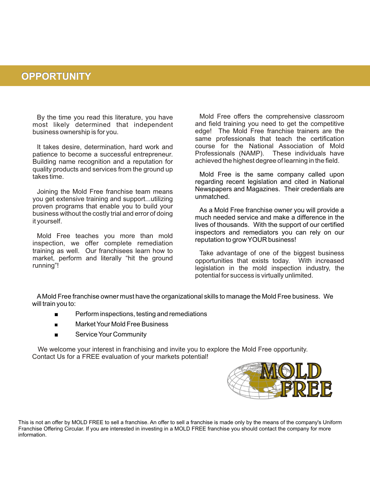## **OPPORTUNITY**

By the time you read this literature, you have most likely determined that independent business ownership is for you.

It takes desire, determination, hard work and patience to become a successful entrepreneur. Building name recognition and a reputation for quality products and services from the ground up takes time.

Joining the Mold Free franchise team means you get extensive training and support...utilizing proven programs that enable you to build your business without the costly trial and error of doing it yourself.

Mold Free teaches you more than mold inspection, we offer complete remediation training as well. Our franchisees learn how to market, perform and literally "hit the ground running"!

Mold Free offers the comprehensive classroom and field training you need to get the competitive edge! The Mold Free franchise trainers are the same professionals that teach the certification course for the National Association of Mold Professionals (NAMP). These individuals have achieved the highest degree of learning in the field.

Mold Free is the same company called upon regarding recent legislation and cited in National Newspapers and Magazines. Their credentials are unmatched.

As a Mold Free franchise owner you will provide a much needed service and make a difference in the lives of thousands. With the support of our certified inspectors and remediators you can rely on our reputation to grow YOUR business!

Take advantage of one of the biggest business opportunities that exists today. With increased legislation in the mold inspection industry, the potential for success is virtually unlimited.

AMold Free franchise owner must have the organizational skills to manage the Mold Free business. We will train you to:

- **EXECUTE:** Perform inspections, testing and remediations
- **Example 3** Market Your Mold Free Business
- **Example 3 Service Your Community**

 We welcome your interest in franchising and invite you to explore the Mold Free opportunity. Contact Us for a FREE evaluation of your markets potential!